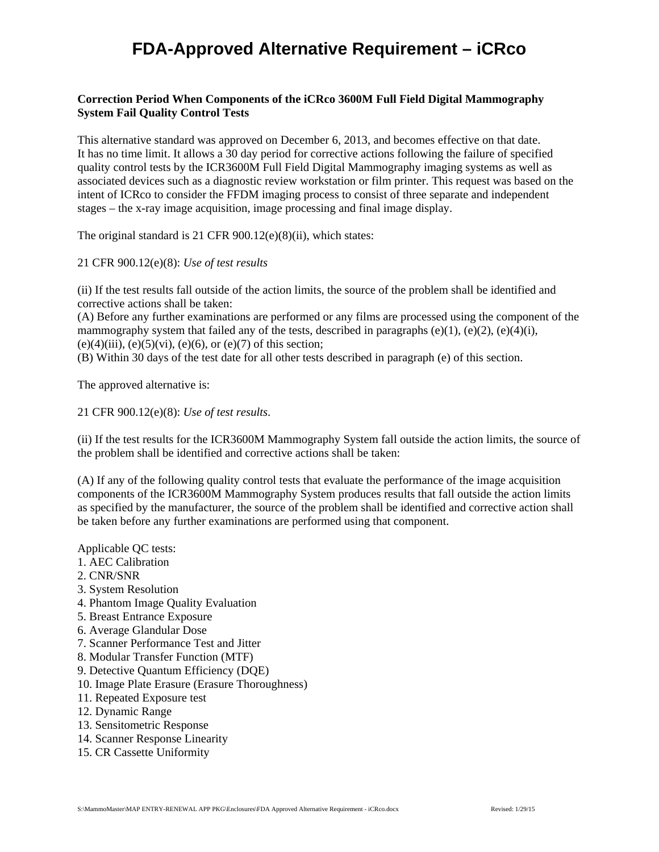## **FDA-Approved Alternative Requirement – iCRco**

## **Correction Period When Components of the iCRco 3600M Full Field Digital Mammography System Fail Quality Control Tests**

This alternative standard was approved on December 6, 2013, and becomes effective on that date. It has no time limit. It allows a 30 day period for corrective actions following the failure of specified quality control tests by the ICR3600M Full Field Digital Mammography imaging systems as well as associated devices such as a diagnostic review workstation or film printer. This request was based on the intent of ICRco to consider the FFDM imaging process to consist of three separate and independent stages – the x-ray image acquisition, image processing and final image display.

The original standard is 21 CFR 900.12(e)(8)(ii), which states:

## 21 CFR 900.12(e)(8): *Use of test results*

(ii) If the test results fall outside of the action limits, the source of the problem shall be identified and corrective actions shall be taken:

(A) Before any further examinations are performed or any films are processed using the component of the mammography system that failed any of the tests, described in paragraphs (e)(1), (e)(2), (e)(4)(i), (e)(4)(iii), (e)(5)(vi), (e)(6), or (e)(7) of this section;

(B) Within 30 days of the test date for all other tests described in paragraph (e) of this section.

The approved alternative is:

21 CFR 900.12(e)(8): *Use of test results*.

(ii) If the test results for the ICR3600M Mammography System fall outside the action limits, the source of the problem shall be identified and corrective actions shall be taken:

(A) If any of the following quality control tests that evaluate the performance of the image acquisition components of the ICR3600M Mammography System produces results that fall outside the action limits as specified by the manufacturer, the source of the problem shall be identified and corrective action shall be taken before any further examinations are performed using that component.

Applicable QC tests:

- 1. AEC Calibration
- 2. CNR/SNR
- 3. System Resolution
- 4. Phantom Image Quality Evaluation
- 5. Breast Entrance Exposure
- 6. Average Glandular Dose
- 7. Scanner Performance Test and Jitter
- 8. Modular Transfer Function (MTF)
- 9. Detective Quantum Efficiency (DQE)
- 10. Image Plate Erasure (Erasure Thoroughness)
- 11. Repeated Exposure test
- 12. Dynamic Range
- 13. Sensitometric Response
- 14. Scanner Response Linearity
- 15. CR Cassette Uniformity